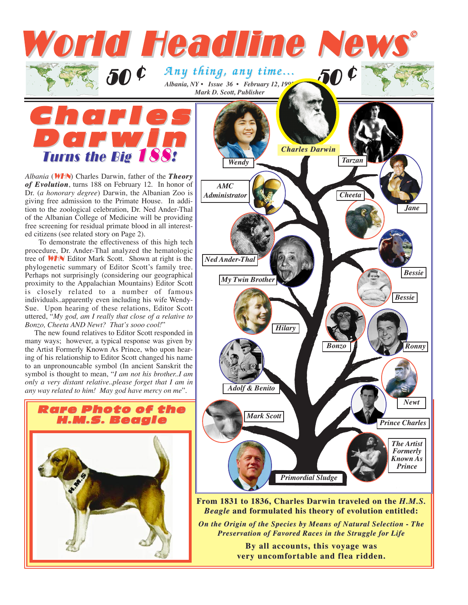## Rare Photo of the H.M.S. Beagle *Albania, NY • Issue 36 • February 12, 1997 Mark D. Scott, Publisher Any thing, any time... Any thing, any time...* 50 ¢ *Wendy Mark Scott Prince Charles Hilary Bonzo Ronny Bessie My Twin Brother Newt Adolf & Benito Ned Ander-Thal Tarzan Jane Cheeta Bessie* Char les Darwin Turns the Big 188! *Albania* (WHN) Charles Darwin, father of the *Theory of Evolution*, turns 188 on February 12. In honor of Dr. (*a honorary degree*) Darwin, the Albanian Zoo is giving free admission to the Primate House. In addition to the zoological celebration, Dr. Ned Ander-Thal of the Albanian College of Medicine will be providing free screening for residual primate blood in all interested citizens (see related story on Page 2). To demonstrate the effectiveness of this high tech procedure, Dr. Ander-Thal analyzed the hematologic tree of WHN Editor Mark Scott. Shown at right is the phylogenetic summary of Editor Scott's family tree. Perhaps not surprisingly (considering our geographical proximity to the Appalachian Mountains) Editor Scott is closely related to a number of famous individuals..apparently even including his wife Wendy-Sue. Upon hearing of these relations, Editor Scott uttered, "*My god, am I really that close of a relative to Bonzo, Cheeta AND Newt? That's sooo cool!*" The new found relatives to Editor Scott responded in many ways; however, a typical response was given by the Artist Formerly Known As Prince, who upon hearing of his relationship to Editor Scott changed his name to an unpronouncable symbol (In ancient Sanskrit the symbol is thought to mean, "*I am not his brother..I am only a very distant relative..please forget that I am in any way related to him! May god have mercy on me*". **50** ¢ World Headline News ©© *AMC Administrator Charles Darwin*



**By all accounts, By all accounts, this voyag e was very uncomfortable and flea ridden.** 

**From 1831 to 1836, Charles Darwin traveled on the** *H.M.S. Beagle* and formulated his theory of evolution entitled: *On the Origin of the Species by Means of Natural Selection - The* **Preservation of Favored Races in the Struggle for Life** 

*Primordial Sludge*

*The Artist Formerly Known As Prince*